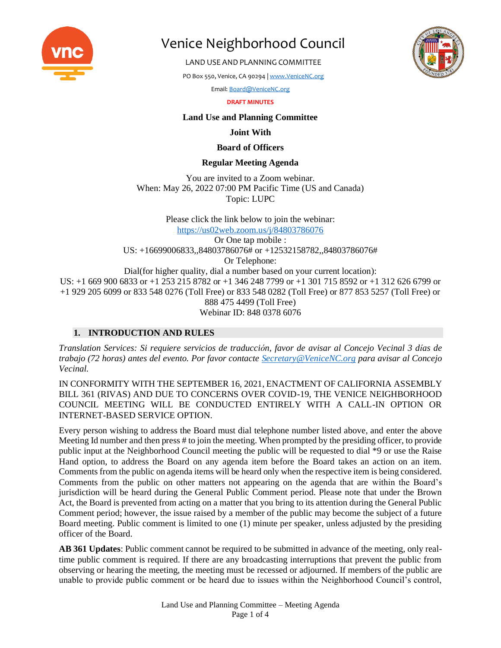

LAND USE AND PLANNING COMMITTEE

PO Box 550, Venice, CA 90294 [| www.VeniceNC.org](http://www.venicenc.org/)

Email[: Board@VeniceNC.org](mailto:Board@VeniceNC.org)

**DRAFT MINUTES**

### **Land Use and Planning Committee**

#### **Joint With**

### **Board of Officers**

## **Regular Meeting Agenda**

You are invited to a Zoom webinar. When: May 26, 2022 07:00 PM Pacific Time (US and Canada) Topic: LUPC

Please click the link below to join the webinar: <https://us02web.zoom.us/j/84803786076> Or One tap mobile : US: +16699006833,,84803786076# or +12532158782,,84803786076# Or Telephone: Dial(for higher quality, dial a number based on your current location): US: +1 669 900 6833 or +1 253 215 8782 or +1 346 248 7799 or +1 301 715 8592 or +1 312 626 6799 or +1 929 205 6099 or 833 548 0276 (Toll Free) or 833 548 0282 (Toll Free) or 877 853 5257 (Toll Free) or 888 475 4499 (Toll Free) Webinar ID: 848 0378 6076

# **1. INTRODUCTION AND RULES**

*Translation Services: Si requiere servicios de traducción, favor de avisar al Concejo Vecinal 3 días de trabajo (72 horas) antes del evento. Por favor contacte [Secretary@VeniceNC.org](mailto:Secretary@VeniceNC.org) para avisar al Concejo Vecinal.*

IN CONFORMITY WITH THE SEPTEMBER 16, 2021, ENACTMENT OF CALIFORNIA ASSEMBLY BILL 361 (RIVAS) AND DUE TO CONCERNS OVER COVID-19, THE VENICE NEIGHBORHOOD COUNCIL MEETING WILL BE CONDUCTED ENTIRELY WITH A CALL-IN OPTION OR INTERNET-BASED SERVICE OPTION.

Every person wishing to address the Board must dial telephone number listed above, and enter the above Meeting Id number and then press # to join the meeting. When prompted by the presiding officer, to provide public input at the Neighborhood Council meeting the public will be requested to dial \*9 or use the Raise Hand option, to address the Board on any agenda item before the Board takes an action on an item. Comments from the public on agenda items will be heard only when the respective item is being considered. Comments from the public on other matters not appearing on the agenda that are within the Board's jurisdiction will be heard during the General Public Comment period. Please note that under the Brown Act, the Board is prevented from acting on a matter that you bring to its attention during the General Public Comment period; however, the issue raised by a member of the public may become the subject of a future Board meeting. Public comment is limited to one (1) minute per speaker, unless adjusted by the presiding officer of the Board.

**AB 361 Updates**: Public comment cannot be required to be submitted in advance of the meeting, only realtime public comment is required. If there are any broadcasting interruptions that prevent the public from observing or hearing the meeting, the meeting must be recessed or adjourned. If members of the public are unable to provide public comment or be heard due to issues within the Neighborhood Council's control,

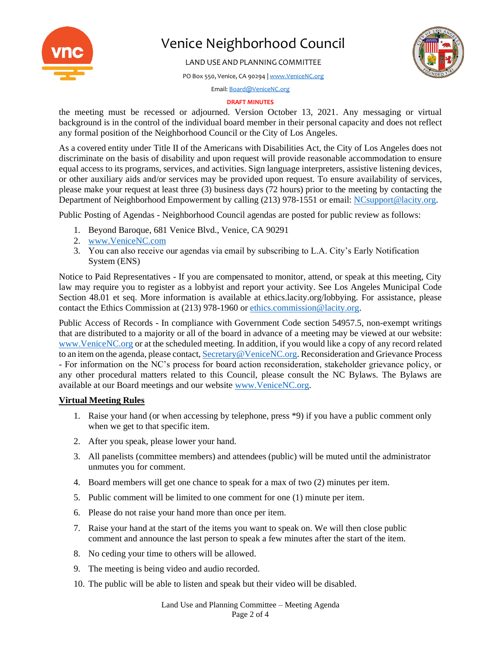

LAND USE AND PLANNING COMMITTEE

PO Box 550, Venice, CA 90294 [| www.VeniceNC.org](http://www.venicenc.org/)



Email[: Board@VeniceNC.org](mailto:Board@VeniceNC.org)

#### **DRAFT MINUTES**

the meeting must be recessed or adjourned. Version October 13, 2021. Any messaging or virtual background is in the control of the individual board member in their personal capacity and does not reflect any formal position of the Neighborhood Council or the City of Los Angeles.

As a covered entity under Title II of the Americans with Disabilities Act, the City of Los Angeles does not discriminate on the basis of disability and upon request will provide reasonable accommodation to ensure equal access to its programs, services, and activities. Sign language interpreters, assistive listening devices, or other auxiliary aids and/or services may be provided upon request. To ensure availability of services, please make your request at least three (3) business days (72 hours) prior to the meeting by contacting the Department of Neighborhood Empowerment by calling (213) 978-1551 or email: [NCsupport@lacity.org.](mailto:NCsupport@lacity.org)

Public Posting of Agendas - Neighborhood Council agendas are posted for public review as follows:

- 1. Beyond Baroque, 681 Venice Blvd., Venice, CA 90291
- 2. [www.VeniceNC.com](http://www.venicenc.com/)
- 3. You can also receive our agendas via email by subscribing to L.A. City's Early Notification System (ENS)

Notice to Paid Representatives - If you are compensated to monitor, attend, or speak at this meeting, City law may require you to register as a lobbyist and report your activity. See Los Angeles Municipal Code Section 48.01 et seq. More information is available at ethics.lacity.org/lobbying. For assistance, please contact the Ethics Commission at (213) 978-1960 o[r ethics.commission@lacity.org.](mailto:ethics.commission@lacity.org)

Public Access of Records - In compliance with Government Code section 54957.5, non-exempt writings that are distributed to a majority or all of the board in advance of a meeting may be viewed at our website: [www.VeniceNC.org](http://www.venicenc.org/) or at the scheduled meeting. In addition, if you would like a copy of any record related to an item on the agenda, please contact[, Secretary@VeniceNC.org.](mailto:Secretary@VeniceNC.org) Reconsideration and Grievance Process - For information on the NC's process for board action reconsideration, stakeholder grievance policy, or any other procedural matters related to this Council, please consult the NC Bylaws. The Bylaws are available at our Board meetings and our website [www.VeniceNC.org.](http://www.venicenc.org/)

#### **Virtual Meeting Rules**

- 1. Raise your hand (or when accessing by telephone, press \*9) if you have a public comment only when we get to that specific item.
- 2. After you speak, please lower your hand.
- 3. All panelists (committee members) and attendees (public) will be muted until the administrator unmutes you for comment.
- 4. Board members will get one chance to speak for a max of two (2) minutes per item.
- 5. Public comment will be limited to one comment for one (1) minute per item.
- 6. Please do not raise your hand more than once per item.
- 7. Raise your hand at the start of the items you want to speak on. We will then close public comment and announce the last person to speak a few minutes after the start of the item.
- 8. No ceding your time to others will be allowed.
- 9. The meeting is being video and audio recorded.
- 10. The public will be able to listen and speak but their video will be disabled.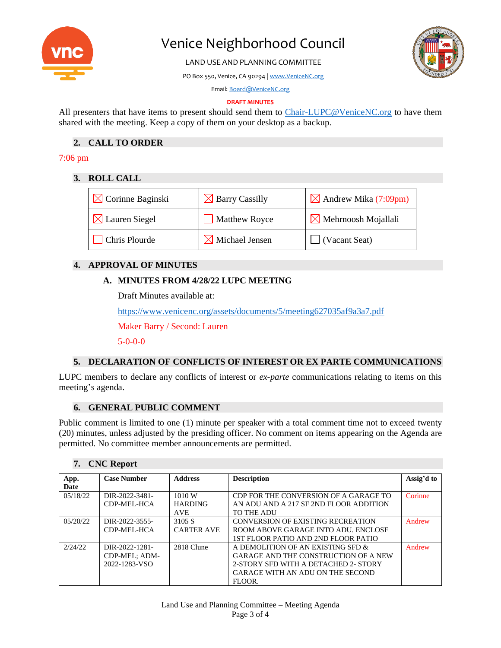

LAND USE AND PLANNING COMMITTEE

PO Box 550, Venice, CA 90294 [| www.VeniceNC.org](http://www.venicenc.org/)



Email[: Board@VeniceNC.org](mailto:Board@VeniceNC.org)

#### **DRAFT MINUTES**

All presenters that have items to present should send them to [Chair-LUPC@VeniceNC.org](mailto:Chair-LUPC@VeniceNC.org) to have them shared with the meeting. Keep a copy of them on your desktop as a backup.

# **2. CALL TO ORDER**

# 7:06 pm

#### **3. ROLL CALL**

| $\boxtimes$ Corinne Baginski | $\boxtimes$ Barry Cassilly | $\boxtimes$ Andrew Mika (7:09pm) |
|------------------------------|----------------------------|----------------------------------|
| $\boxtimes$ Lauren Siegel    | <b>Matthew Royce</b>       | $\boxtimes$ Mehrnoosh Mojallali  |
| <b>Chris Plourde</b>         | $\times$ Michael Jensen    | $\Box$ (Vacant Seat)             |

# **4. APPROVAL OF MINUTES**

## **A. MINUTES FROM 4/28/22 LUPC MEETING**

Draft Minutes available at:

<https://www.venicenc.org/assets/documents/5/meeting627035af9a3a7.pdf>

Maker Barry / Second: Lauren

5-0-0-0

# **5. DECLARATION OF CONFLICTS OF INTEREST OR EX PARTE COMMUNICATIONS**

LUPC members to declare any conflicts of interest or *ex-parte* communications relating to items on this meeting's agenda.

#### **6. GENERAL PUBLIC COMMENT**

Public comment is limited to one (1) minute per speaker with a total comment time not to exceed twenty (20) minutes, unless adjusted by the presiding officer. No comment on items appearing on the Agenda are permitted. No committee member announcements are permitted.

#### **7. CNC Report**

| App.      | <b>Case Number</b> | <b>Address</b>    | <b>Description</b>                          | Assig'd to |
|-----------|--------------------|-------------------|---------------------------------------------|------------|
| Date      |                    |                   |                                             |            |
| 05/18/22  | DIR-2022-3481-     | 1010 W            | CDP FOR THE CONVERSION OF A GARAGE TO       | Corinne    |
|           | CDP-MEL-HCA        | <b>HARDING</b>    | AN ADU AND A 217 SF 2ND FLOOR ADDITION      |            |
|           |                    | <b>AVE</b>        | TO THE ADU                                  |            |
| 0.5/20/22 | DIR-2022-3555-     | 3105 S            | CONVERSION OF EXISTING RECREATION           | Andrew     |
|           | CDP-MEL-HCA        | <b>CARTER AVE</b> | ROOM ABOVE GARAGE INTO ADU. ENCLOSE         |            |
|           |                    |                   | 1ST FLOOR PATIO AND 2ND FLOOR PATIO         |            |
| 2/24/22   | DIR-2022-1281-     | 2818 Clune        | A DEMOLITION OF AN EXISTING SFD &           | Andrew     |
|           | CDP-MEL; ADM-      |                   | <b>GARAGE AND THE CONSTRUCTION OF A NEW</b> |            |
|           | 2022-1283-VSO      |                   | 2-STORY SFD WITH A DETACHED 2- STORY        |            |
|           |                    |                   | GARAGE WITH AN ADU ON THE SECOND            |            |
|           |                    |                   | FLOOR.                                      |            |